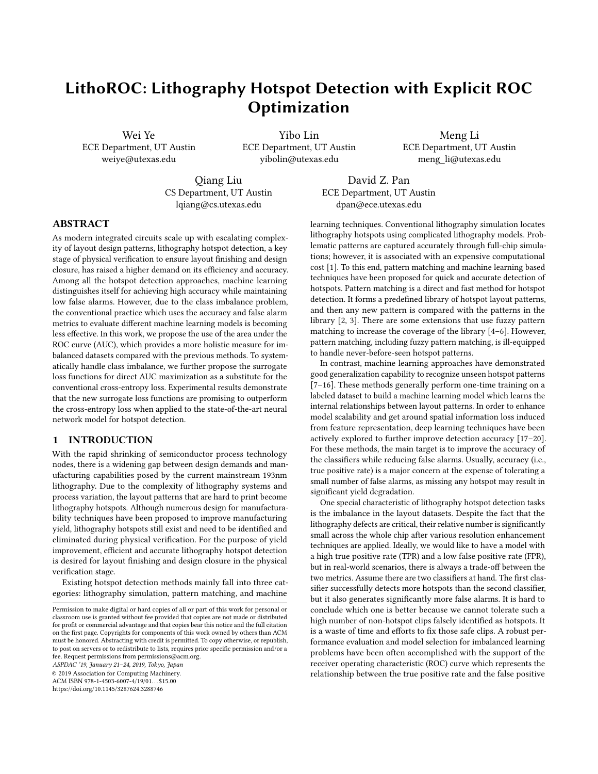# LithoROC: Lithography Hotspot Detection with Explicit ROC Optimization

Wei Ye ECE Department, UT Austin weiye@utexas.edu

Yibo Lin ECE Department, UT Austin yibolin@utexas.edu

Meng Li ECE Department, UT Austin meng\_li@utexas.edu

Qiang Liu CS Department, UT Austin lqiang@cs.utexas.edu

David Z. Pan ECE Department, UT Austin dpan@ece.utexas.edu

## ABSTRACT

As modern integrated circuits scale up with escalating complexity of layout design patterns, lithography hotspot detection, a key stage of physical verification to ensure layout finishing and design closure, has raised a higher demand on its efficiency and accuracy. Among all the hotspot detection approaches, machine learning distinguishes itself for achieving high accuracy while maintaining low false alarms. However, due to the class imbalance problem, the conventional practice which uses the accuracy and false alarm metrics to evaluate different machine learning models is becoming less effective. In this work, we propose the use of the area under the ROC curve (AUC), which provides a more holistic measure for imbalanced datasets compared with the previous methods. To systematically handle class imbalance, we further propose the surrogate loss functions for direct AUC maximization as a substitute for the conventional cross-entropy loss. Experimental results demonstrate that the new surrogate loss functions are promising to outperform the cross-entropy loss when applied to the state-of-the-art neural network model for hotspot detection.

## 1 INTRODUCTION

With the rapid shrinking of semiconductor process technology nodes, there is a widening gap between design demands and manufacturing capabilities posed by the current mainstream 193nm lithography. Due to the complexity of lithography systems and process variation, the layout patterns that are hard to print become lithography hotspots. Although numerous design for manufacturability techniques have been proposed to improve manufacturing yield, lithography hotspots still exist and need to be identified and eliminated during physical verification. For the purpose of yield improvement, efficient and accurate lithography hotspot detection is desired for layout finishing and design closure in the physical verification stage.

Existing hotspot detection methods mainly fall into three categories: lithography simulation, pattern matching, and machine

ASPDAC '19, January 21–24, 2019, Tokyo, Japan

© 2019 Association for Computing Machinery.

ACM ISBN 978-1-4503-6007-4/19/01...\$15.00

<https://doi.org/10.1145/3287624.3288746>

learning techniques. Conventional lithography simulation locates lithography hotspots using complicated lithography models. Problematic patterns are captured accurately through full-chip simulations; however, it is associated with an expensive computational cost [\[1\]](#page-5-0). To this end, pattern matching and machine learning based techniques have been proposed for quick and accurate detection of hotspots. Pattern matching is a direct and fast method for hotspot detection. It forms a predefined library of hotspot layout patterns, and then any new pattern is compared with the patterns in the library [\[2,](#page-5-1) [3\]](#page-5-2). There are some extensions that use fuzzy pattern matching to increase the coverage of the library [\[4–](#page-5-3)[6\]](#page-5-4). However, pattern matching, including fuzzy pattern matching, is ill-equipped to handle never-before-seen hotspot patterns.

In contrast, machine learning approaches have demonstrated good generalization capability to recognize unseen hotspot patterns [\[7](#page-5-5)[–16\]](#page-6-0). These methods generally perform one-time training on a labeled dataset to build a machine learning model which learns the internal relationships between layout patterns. In order to enhance model scalability and get around spatial information loss induced from feature representation, deep learning techniques have been actively explored to further improve detection accuracy [\[17–](#page-6-1)[20\]](#page-6-2). For these methods, the main target is to improve the accuracy of the classifiers while reducing false alarms. Usually, accuracy (i.e., true positive rate) is a major concern at the expense of tolerating a small number of false alarms, as missing any hotspot may result in significant yield degradation.

One special characteristic of lithography hotspot detection tasks is the imbalance in the layout datasets. Despite the fact that the lithography defects are critical, their relative number is significantly small across the whole chip after various resolution enhancement techniques are applied. Ideally, we would like to have a model with a high true positive rate (TPR) and a low false positive rate (FPR), but in real-world scenarios, there is always a trade-off between the two metrics. Assume there are two classifiers at hand. The first classifier successfully detects more hotspots than the second classifier, but it also generates significantly more false alarms. It is hard to conclude which one is better because we cannot tolerate such a high number of non-hotspot clips falsely identified as hotspots. It is a waste of time and efforts to fix those safe clips. A robust performance evaluation and model selection for imbalanced learning problems have been often accomplished with the support of the receiver operating characteristic (ROC) curve which represents the relationship between the true positive rate and the false positive

Permission to make digital or hard copies of all or part of this work for personal or classroom use is granted without fee provided that copies are not made or distributed for profit or commercial advantage and that copies bear this notice and the full citation on the first page. Copyrights for components of this work owned by others than ACM must be honored. Abstracting with credit is permitted. To copy otherwise, or republish, to post on servers or to redistribute to lists, requires prior specific permission and/or a fee. Request permissions from permissions@acm.org.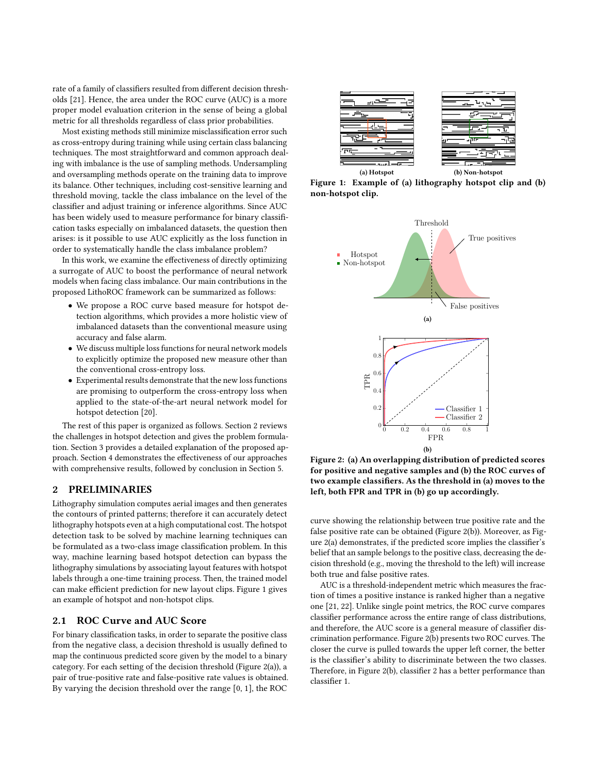rate of a family of classifiers resulted from different decision thresholds [\[21\]](#page-6-3). Hence, the area under the ROC curve (AUC) is a more proper model evaluation criterion in the sense of being a global metric for all thresholds regardless of class prior probabilities.

Most existing methods still minimize misclassification error such as cross-entropy during training while using certain class balancing techniques. The most straightforward and common approach dealing with imbalance is the use of sampling methods. Undersampling and oversampling methods operate on the training data to improve its balance. Other techniques, including cost-sensitive learning and threshold moving, tackle the class imbalance on the level of the classifier and adjust training or inference algorithms. Since AUC has been widely used to measure performance for binary classification tasks especially on imbalanced datasets, the question then arises: is it possible to use AUC explicitly as the loss function in order to systematically handle the class imbalance problem?

In this work, we examine the effectiveness of directly optimizing a surrogate of AUC to boost the performance of neural network models when facing class imbalance. Our main contributions in the proposed LithoROC framework can be summarized as follows:

- We propose a ROC curve based measure for hotspot detection algorithms, which provides a more holistic view of imbalanced datasets than the conventional measure using accuracy and false alarm.
- We discuss multiple loss functions for neural network models to explicitly optimize the proposed new measure other than the conventional cross-entropy loss.
- Experimental results demonstrate that the new loss functions are promising to outperform the cross-entropy loss when applied to the state-of-the-art neural network model for hotspot detection [\[20\]](#page-6-2).

The rest of this paper is organized as follows. Section [2](#page-1-0) reviews the challenges in hotspot detection and gives the problem formulation. Section [3](#page-3-0) provides a detailed explanation of the proposed approach. Section [4](#page-4-0) demonstrates the effectiveness of our approaches with comprehensive results, followed by conclusion in Section [5.](#page-5-6)

## <span id="page-1-0"></span>2 PRELIMINARIES

Lithography simulation computes aerial images and then generates the contours of printed patterns; therefore it can accurately detect lithography hotspots even at a high computational cost. The hotspot detection task to be solved by machine learning techniques can be formulated as a two-class image classification problem. In this way, machine learning based hotspot detection can bypass the lithography simulations by associating layout features with hotspot labels through a one-time training process. Then, the trained model can make efficient prediction for new layout clips. Figure [1](#page-1-1) gives an example of hotspot and non-hotspot clips.

## <span id="page-1-4"></span>2.1 ROC Curve and AUC Score

For binary classification tasks, in order to separate the positive class from the negative class, a decision threshold is usually defined to map the continuous predicted score given by the model to a binary category. For each setting of the decision threshold (Figure [2\(a\)\)](#page-1-2), a pair of true-positive rate and false-positive rate values is obtained. By varying the decision threshold over the range [0, 1], the ROC

<span id="page-1-1"></span>

Figure 1: Example of (a) lithography hotspot clip and (b) non-hotspot clip.

<span id="page-1-3"></span><span id="page-1-2"></span>

Figure 2: (a) An overlapping distribution of predicted scores for positive and negative samples and (b) the ROC curves of two example classifiers. As the threshold in (a) moves to the left, both FPR and TPR in (b) go up accordingly.

curve showing the relationship between true positive rate and the false positive rate can be obtained (Figure [2\(b\)\)](#page-1-3). Moreover, as Figure [2\(a\)](#page-1-2) demonstrates, if the predicted score implies the classifier's belief that an sample belongs to the positive class, decreasing the decision threshold (e.g., moving the threshold to the left) will increase both true and false positive rates.

AUC is a threshold-independent metric which measures the fraction of times a positive instance is ranked higher than a negative one [\[21,](#page-6-3) [22\]](#page-6-4). Unlike single point metrics, the ROC curve compares classifier performance across the entire range of class distributions, and therefore, the AUC score is a general measure of classifier discrimination performance. Figure [2\(b\)](#page-1-3) presents two ROC curves. The closer the curve is pulled towards the upper left corner, the better is the classifier's ability to discriminate between the two classes. Therefore, in Figure [2\(b\),](#page-1-3) classifier 2 has a better performance than classifier 1.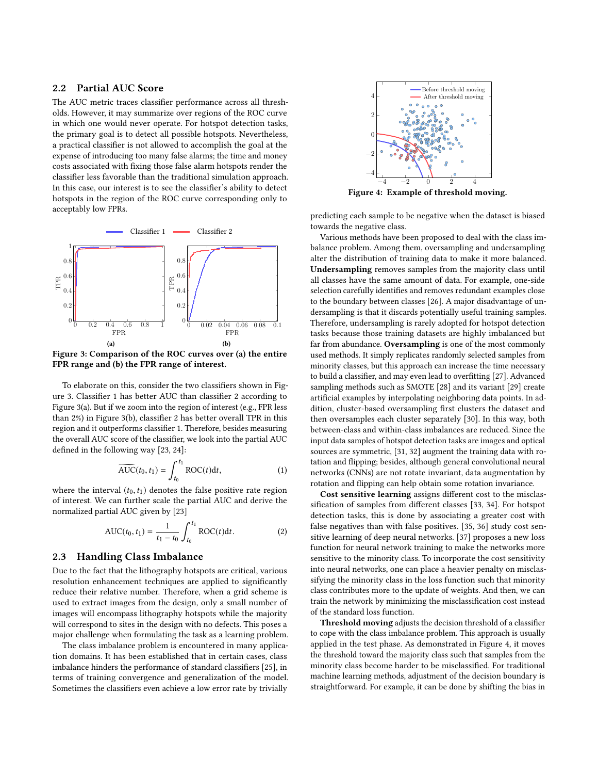## 2.2 Partial AUC Score

The AUC metric traces classifier performance across all thresholds. However, it may summarize over regions of the ROC curve in which one would never operate. For hotspot detection tasks, the primary goal is to detect all possible hotspots. Nevertheless, a practical classifier is not allowed to accomplish the goal at the expense of introducing too many false alarms; the time and money costs associated with fixing those false alarm hotspots render the classifier less favorable than the traditional simulation approach. In this case, our interest is to see the classifier's ability to detect hotspots in the region of the ROC curve corresponding only to acceptably low FPRs.

<span id="page-2-1"></span><span id="page-2-0"></span>

<span id="page-2-2"></span>Figure 3: Comparison of the ROC curves over (a) the entire FPR range and (b) the FPR range of interest.

To elaborate on this, consider the two classifiers shown in Figure [3.](#page-2-0) Classifier 1 has better AUC than classifier 2 according to Figure [3\(a\).](#page-2-1) But if we zoom into the region of interest (e.g., FPR less than 2%) in Figure [3\(b\),](#page-2-2) classifier 2 has better overall TPR in this region and it outperforms classifier 1. Therefore, besides measuring the overall AUC score of the classifier, we look into the partial AUC defined in the following way [\[23,](#page-6-5) [24\]](#page-6-6):

$$
\widetilde{\text{AUC}}(t_0, t_1) = \int_{t_0}^{t_1} \text{ROC}(t) \, \mathrm{d}t,\tag{1}
$$

where the interval  $(t_0, t_1)$  denotes the false positive rate region of interest. We can further scale the partial AUC and derive the normalized partial AUC given by [\[23\]](#page-6-5)

AUC
$$
(t_0, t_1)
$$
 =  $\frac{1}{t_1 - t_0} \int_{t_0}^{t_1} \text{ROC}(t) dt.$  (2)

#### 2.3 Handling Class Imbalance

Due to the fact that the lithography hotspots are critical, various resolution enhancement techniques are applied to significantly reduce their relative number. Therefore, when a grid scheme is used to extract images from the design, only a small number of images will encompass lithography hotspots while the majority will correspond to sites in the design with no defects. This poses a major challenge when formulating the task as a learning problem.

The class imbalance problem is encountered in many application domains. It has been established that in certain cases, class imbalance hinders the performance of standard classifiers [\[25\]](#page-6-7), in terms of training convergence and generalization of the model. Sometimes the classifiers even achieve a low error rate by trivially

<span id="page-2-3"></span>

Figure 4: Example of threshold moving.

predicting each sample to be negative when the dataset is biased towards the negative class.

Various methods have been proposed to deal with the class imbalance problem. Among them, oversampling and undersampling alter the distribution of training data to make it more balanced. Undersampling removes samples from the majority class until all classes have the same amount of data. For example, one-side selection carefully identifies and removes redundant examples close to the boundary between classes [\[26\]](#page-6-8). A major disadvantage of undersampling is that it discards potentially useful training samples. Therefore, undersampling is rarely adopted for hotspot detection tasks because those training datasets are highly imbalanced but far from abundance. Oversampling is one of the most commonly used methods. It simply replicates randomly selected samples from minority classes, but this approach can increase the time necessary to build a classifier, and may even lead to overfitting [\[27\]](#page-6-9). Advanced sampling methods such as SMOTE [\[28\]](#page-6-10) and its variant [\[29\]](#page-6-11) create artificial examples by interpolating neighboring data points. In addition, cluster-based oversampling first clusters the dataset and then oversamples each cluster separately [\[30\]](#page-6-12). In this way, both between-class and within-class imbalances are reduced. Since the input data samples of hotspot detection tasks are images and optical sources are symmetric, [\[31,](#page-6-13) [32\]](#page-6-14) augment the training data with rotation and flipping; besides, although general convolutional neural networks (CNNs) are not rotate invariant, data augmentation by rotation and flipping can help obtain some rotation invariance.

<span id="page-2-4"></span>Cost sensitive learning assigns different cost to the misclassification of samples from different classes [\[33,](#page-6-15) [34\]](#page-6-16). For hotspot detection tasks, this is done by associating a greater cost with false negatives than with false positives. [\[35,](#page-6-17) [36\]](#page-6-18) study cost sensitive learning of deep neural networks. [\[37\]](#page-6-19) proposes a new loss function for neural network training to make the networks more sensitive to the minority class. To incorporate the cost sensitivity into neural networks, one can place a heavier penalty on misclassifying the minority class in the loss function such that minority class contributes more to the update of weights. And then, we can train the network by minimizing the misclassification cost instead of the standard loss function.

Threshold moving adjusts the decision threshold of a classifier to cope with the class imbalance problem. This approach is usually applied in the test phase. As demonstrated in Figure [4,](#page-2-3) it moves the threshold toward the majority class such that samples from the minority class become harder to be misclassified. For traditional machine learning methods, adjustment of the decision boundary is straightforward. For example, it can be done by shifting the bias in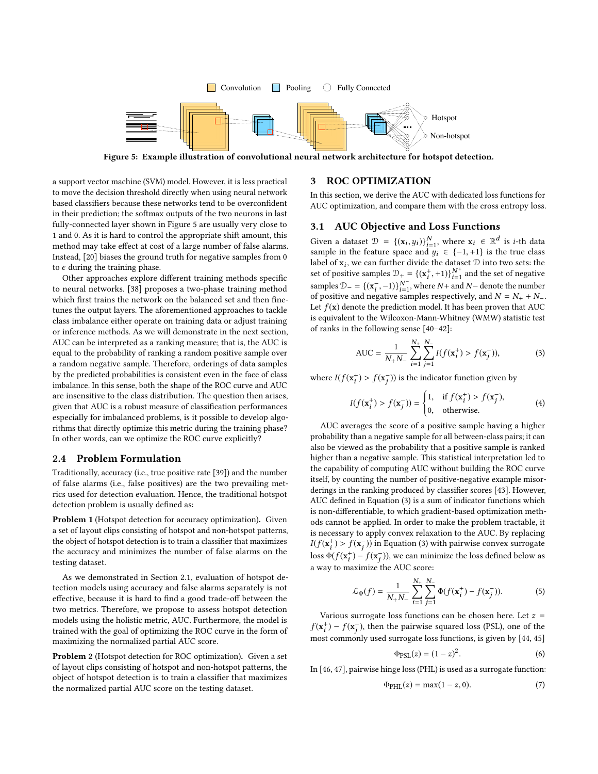<span id="page-3-1"></span>

Figure 5: Example illustration of convolutional neural network architecture for hotspot detection.

a support vector machine (SVM) model. However, it is less practical to move the decision threshold directly when using neural network based classifiers because these networks tend to be overconfident in their prediction; the softmax outputs of the two neurons in last fully-connected layer shown in Figure [5](#page-3-1) are usually very close to 1 and 0. As it is hard to control the appropriate shift amount, this method may take effect at cost of a large number of false alarms. Instead, [\[20\]](#page-6-2) biases the ground truth for negative samples from 0 to  $\epsilon$  during the training phase.

Other approaches explore different training methods specific to neural networks. [\[38\]](#page-6-20) proposes a two-phase training method which first trains the network on the balanced set and then finetunes the output layers. The aforementioned approaches to tackle class imbalance either operate on training data or adjust training or inference methods. As we will demonstrate in the next section, AUC can be interpreted as a ranking measure; that is, the AUC is equal to the probability of ranking a random positive sample over a random negative sample. Therefore, orderings of data samples by the predicted probabilities is consistent even in the face of class imbalance. In this sense, both the shape of the ROC curve and AUC are insensitive to the class distribution. The question then arises, given that AUC is a robust measure of classification performances especially for imbalanced problems, is it possible to develop algorithms that directly optimize this metric during the training phase? In other words, can we optimize the ROC curve explicitly?

#### 2.4 Problem Formulation

Traditionally, accuracy (i.e., true positive rate [\[39\]](#page-6-21)) and the number of false alarms (i.e., false positives) are the two prevailing metrics used for detection evaluation. Hence, the traditional hotspot detection problem is usually defined as:

Problem 1 (Hotspot detection for accuracy optimization). Given a set of layout clips consisting of hotspot and non-hotspot patterns, the object of hotspot detection is to train a classifier that maximizes the accuracy and minimizes the number of false alarms on the testing dataset.

As we demonstrated in Section [2.1,](#page-1-4) evaluation of hotspot detection models using accuracy and false alarms separately is not effective, because it is hard to find a good trade-off between the two metrics. Therefore, we propose to assess hotspot detection models using the holistic metric, AUC. Furthermore, the model is trained with the goal of optimizing the ROC curve in the form of maximizing the normalized partial AUC score.

Problem 2 (Hotspot detection for ROC optimization). Given a set of layout clips consisting of hotspot and non-hotspot patterns, the object of hotspot detection is to train a classifier that maximizes the normalized partial AUC score on the testing dataset.

#### <span id="page-3-0"></span>3 ROC OPTIMIZATION

In this section, we derive the AUC with dedicated loss functions for AUC optimization, and compare them with the cross entropy loss.

## 3.1 AUC Objective and Loss Functions

Given a dataset  $\mathcal{D} = \{(\mathbf{x}_i, y_i)\}_{i=1}^N$ , where  $\mathbf{x}_i \in \mathbb{R}^d$  is *i*-th data sample in the feature space and  $y_i \in \mathcal{L}_{-1}$  +1) is the true class sample in the feature space and  $y_i$  ∈ {-1,+1} is the true class label of  $\mathbf{x}_i$ , we can further divide the dataset  $\mathcal D$  into two sets: the set of positive samples  $\mathcal{D}_+ = \{(\mathbf{x}_i^+, +1)\}_{i=1}^{N^+}$  and the set of negative<br>samples  $\mathcal{D}_+ = \{(\mathbf{x}_i^-, -1)\}_{N^-}^{N^-}$  where  $N_i$  and  $N_i$  denote the number samples  $\mathcal{D}_- = \{(\mathbf{x}_i^-, -1)\}_{i=1}^{N^-}$ <br>of positive and peoplive say  $i=1, N-1$ , where N+ and N− denote the number<br>samples respectively, and  $N = N_+ + N_$ of positive and negative samples respectively, and  $N = N_+ + N_-$ . Let  $f(\mathbf{x})$  denote the prediction model. It has been proven that AUC is equivalent to the Wilcoxon-Mann-Whitney (WMW) statistic test of ranks in the following sense [\[40](#page-6-22)[–42\]](#page-6-23):

<span id="page-3-2"></span>AUC = 
$$
\frac{1}{N+N-} \sum_{i=1}^{N_+} \sum_{j=1}^{N_-} I(f(\mathbf{x}_i^+) > f(\mathbf{x}_j^-)),
$$
 (3)

where  $I(f(\mathbf{x}_i^+) > f(\mathbf{x}_j^-))$  is the indicator function given by

$$
I(f(\mathbf{x}_i^+) > f(\mathbf{x}_j^-)) = \begin{cases} 1, & \text{if } f(\mathbf{x}_i^+) > f(\mathbf{x}_j^-), \\ 0, & \text{otherwise.} \end{cases} \tag{4}
$$

AUC averages the score of a positive sample having a higher probability than a negative sample for all between-class pairs; it can also be viewed as the probability that a positive sample is ranked higher than a negative sample. This statistical interpretation led to the capability of computing AUC without building the ROC curve itself, by counting the number of positive-negative example misorderings in the ranking produced by classifier scores [\[43\]](#page-6-24). However, AUC defined in Equation [\(3\)](#page-3-2) is a sum of indicator functions which is non-differentiable, to which gradient-based optimization methods cannot be applied. In order to make the problem tractable, it is necessary to apply convex relaxation to the AUC. By replacing  $I(f(\mathbf{x}_t^+) > f(\mathbf{x}_j^-))$  in Equation [\(3\)](#page-3-2) with pairwise convex surrogate loss  $\Phi(f(\mathbf{x}_i^+) - f(\mathbf{x}_j^-))$ , we can minimize the loss defined below as a way to maximize the AUC score:

$$
\mathcal{L}_{\Phi}(f) = \frac{1}{N_{+}N_{-}} \sum_{i=1}^{N_{+}} \sum_{j=1}^{N_{-}} \Phi(f(\mathbf{x}_{i}^{+}) - f(\mathbf{x}_{j}^{-})).
$$
 (5)

Various surrogate loss functions can be chosen here. Let  $z =$  $f(\mathbf{x}_i^+) - f(\mathbf{x}_j^-)$ , then the pairwise squared loss (PSL), one of the most commonly used surrogate loss functions, is given by [\[44,](#page-6-25) [45\]](#page-6-26)

<span id="page-3-4"></span><span id="page-3-3"></span>
$$
\Phi_{PSL}(z) = (1 - z)^2.
$$
 (6)

In [\[46,](#page-6-27) [47\]](#page-6-28), pairwise hinge loss (PHL) is used as a surrogate function:

$$
\Phi_{\rm PHL}(z) = \max(1 - z, 0). \tag{7}
$$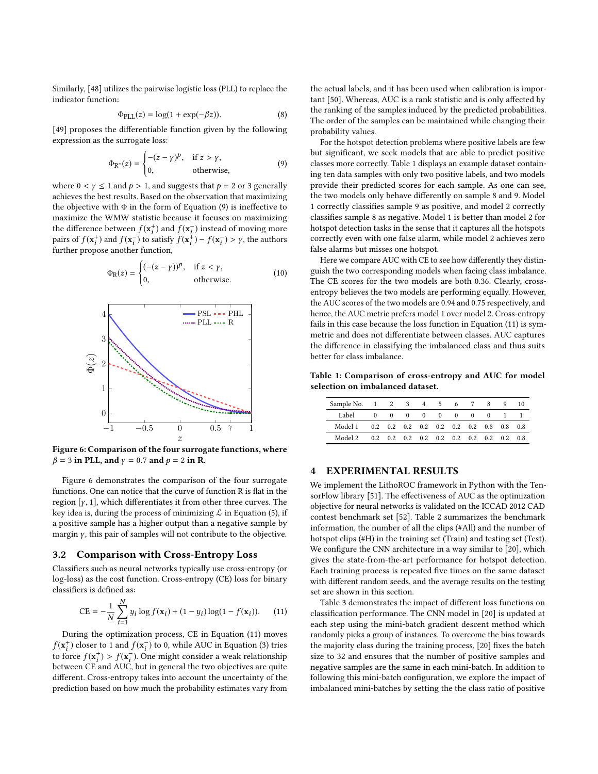Similarly, [\[48\]](#page-6-29) utilizes the pairwise logistic loss (PLL) to replace the indicator function:

$$
\Phi_{\text{PLL}}(z) = \log(1 + \exp(-\beta z)).\tag{8}
$$

[\[49\]](#page-6-30) proposes the differentiable function given by the following expression as the surrogate loss:

$$
\Phi_{\mathbb{R}^*}(z) = \begin{cases}\n-(z - \gamma)^p, & \text{if } z > \gamma, \\
0, & \text{otherwise,} \n\end{cases}
$$
\n(9)

where  $0 < y \le 1$  and  $p > 1$ , and suggests that  $p = 2$  or 3 generally achieves the best results. Based on the observation that maximizing the objective with  $\Phi$  in the form of Equation [\(9\)](#page-4-1) is ineffective to maximize the WMW statistic because it focuses on maximizing the difference between  $f(\mathbf{x}_t^+)$  and  $f(\mathbf{x}_t^-)$  instead of moving more<br>pairs of  $f(\mathbf{x}^+)$  and  $f(\mathbf{x}^-)$  to eatisfy  $f(\mathbf{x}^+) = f(\mathbf{x}^-) \times y$ , the authors pairs of  $f(\mathbf{x}_i^+)$  and  $f(\mathbf{x}_i^-)$  to satisfy  $f(\mathbf{x}_i^+) - f(\mathbf{x}_i^-) > \gamma$ , the authors further propose another function further propose another function,

$$
\Phi_{R}(z) = \begin{cases}\n(-(z - \gamma))P, & \text{if } z < \gamma, \\
0, & \text{otherwise.} \n\end{cases}
$$
\n(10)

<span id="page-4-2"></span>

Figure 6: Comparison of the four surrogate functions, where  $\beta = 3$  in PLL, and  $\gamma = 0.7$  and  $p = 2$  in R.

Figure [6](#page-4-2) demonstrates the comparison of the four surrogate functions. One can notice that the curve of function R is flat in the region [ $\gamma$ , 1], which differentiates it from other three curves. The key idea is, during the process of minimizing  $\mathcal L$  in Equation [\(5\)](#page-3-3), if a positive sample has a higher output than a negative sample by margin  $\gamma$ , this pair of samples will not contribute to the objective.

## 3.2 Comparison with Cross-Entropy Loss

Classifiers such as neural networks typically use cross-entropy (or log-loss) as the cost function. Cross-entropy (CE) loss for binary classifiers is defined as:

$$
CE = -\frac{1}{N} \sum_{i=1}^{N} y_i \log f(\mathbf{x}_i) + (1 - y_i) \log(1 - f(\mathbf{x}_i)).
$$
 (11)

During the optimization process, CE in Equation [\(11\)](#page-4-3) moves  $f(\mathbf{x}_i^+)$  closer to 1 and  $f(\mathbf{x}_i^-)$  to 0, while AUC in Equation [\(3\)](#page-3-2) tries<br>to force  $f(\mathbf{x}^+) > f(\mathbf{x}^-)$  One might consider a weak relationship to force  $f(\mathbf{x}_t^+) > f(\mathbf{x}_t^-)$ . One might consider a weak relationship<br>between CE and AUC, but in general the two objectives are quite between CE and AUC, but in general the two objectives are quite different. Cross-entropy takes into account the uncertainty of the prediction based on how much the probability estimates vary from the actual labels, and it has been used when calibration is important [\[50\]](#page-6-31). Whereas, AUC is a rank statistic and is only affected by the ranking of the samples induced by the predicted probabilities. The order of the samples can be maintained while changing their probability values.

<span id="page-4-1"></span>For the hotspot detection problems where positive labels are few but significant, we seek models that are able to predict positive classes more correctly. Table 1 displays an example dataset containing ten data samples with only two positive labels, and two models provide their predicted scores for each sample. As one can see, the two models only behave differently on sample 8 and 9. Model 1 correctly classifies sample 9 as positive, and model 2 correctly classifies sample 8 as negative. Model 1 is better than model 2 for hotspot detection tasks in the sense that it captures all the hotspots correctly even with one false alarm, while model 2 achieves zero false alarms but misses one hotspot.

<span id="page-4-4"></span>Here we compare AUC with CE to see how differently they distinguish the two corresponding models when facing class imbalance. The CE scores for the two models are both 0.36. Clearly, crossentropy believes the two models are performing equally. However, the AUC scores of the two models are 0.94 and 0.75 respectively, and hence, the AUC metric prefers model 1 over model 2. Cross-entropy fails in this case because the loss function in Equation [\(11\)](#page-4-3) is symmetric and does not differentiate between classes. AUC captures the difference in classifying the imbalanced class and thus suits better for class imbalance.

Table 1: Comparison of cross-entropy and AUC for model selection on imbalanced dataset.

| Sample No. 1 2 |          |          | -3       | $\overline{4}$ | 5                                   | 6        |          | 8        | 9   | 10 |
|----------------|----------|----------|----------|----------------|-------------------------------------|----------|----------|----------|-----|----|
| Label          | $\Omega$ | $\theta$ | $\theta$ | $\Omega$       | $\Omega$                            | $\Omega$ | $\Omega$ | $\Omega$ |     |    |
| Model 1        | 0.2      |          |          |                | $0.2$ $0.2$ $0.2$ $0.2$ $0.2$ $0.2$ |          |          | 0.8      | 0.8 | 08 |
| Model 2        | 0.2      | 0.2      |          |                | $0.2 \quad 0.2 \quad 0.2 \quad 0.2$ |          | 0.2      | 0.2      | 0.2 | 08 |

#### <span id="page-4-0"></span>4 EXPERIMENTAL RESULTS

We implement the LithoROC framework in Python with the TensorFlow library [\[51\]](#page-6-32). The effectiveness of AUC as the optimization objective for neural networks is validated on the ICCAD 2012 CAD contest benchmark set [\[52\]](#page-6-33). Table [2](#page-5-7) summarizes the benchmark information, the number of all the clips (#All) and the number of hotspot clips (#H) in the training set (Train) and testing set (Test). We configure the CNN architecture in a way similar to [\[20\]](#page-6-2), which gives the state-from-the-art performance for hotspot detection. Each training process is repeated five times on the same dataset with different random seeds, and the average results on the testing set are shown in this section.

<span id="page-4-3"></span>Table [3](#page-6-34) demonstrates the impact of different loss functions on classification performance. The CNN model in [\[20\]](#page-6-2) is updated at each step using the mini-batch gradient descent method which randomly picks a group of instances. To overcome the bias towards the majority class during the training process, [\[20\]](#page-6-2) fixes the batch size to 32 and ensures that the number of positive samples and negative samples are the same in each mini-batch. In addition to following this mini-batch configuration, we explore the impact of imbalanced mini-batches by setting the the class ratio of positive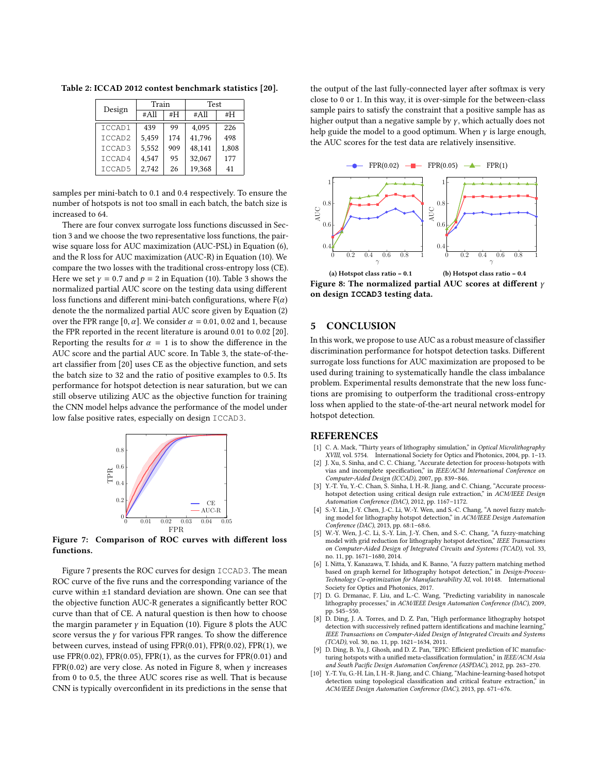<span id="page-5-7"></span>Table 2: ICCAD 2012 contest benchmark statistics [\[20\]](#page-6-2).

| Design | Train |     | Test   |       |  |  |  |
|--------|-------|-----|--------|-------|--|--|--|
|        | #All  | #H  | #All   | #H    |  |  |  |
| ICCAD1 | 439   | 99  | 4.095  | 226   |  |  |  |
| ICCAD2 | 5.459 | 174 | 41,796 | 498   |  |  |  |
| ICCAD3 | 5,552 | 909 | 48,141 | 1,808 |  |  |  |
| ICCAD4 | 4,547 | 95  | 32,067 | 177   |  |  |  |
| ICCAD5 | 2.742 | 26  | 19,368 | 41    |  |  |  |

samples per mini-batch to 0.1 and 0.4 respectively. To ensure the number of hotspots is not too small in each batch, the batch size is increased to 64.

There are four convex surrogate loss functions discussed in Section [3](#page-3-0) and we choose the two representative loss functions, the pairwise square loss for AUC maximization (AUC-PSL) in Equation [\(6\)](#page-3-4), and the R loss for AUC maximization (AUC-R) in Equation [\(10\)](#page-4-4). We compare the two losses with the traditional cross-entropy loss (CE). Here we set  $\gamma = 0.7$  and  $p = 2$  in Equation [\(10\)](#page-4-4). Table [3](#page-6-34) shows the normalized partial AUC score on the testing data using different loss functions and different mini-batch configurations, where  $F(\alpha)$ denote the the normalized partial AUC score given by Equation [\(2\)](#page-2-4) over the FPR range [0,  $\alpha$ ]. We consider  $\alpha = 0.01, 0.02$  and 1, because the FPR reported in the recent literature is around 0.01 to 0.02 [\[20\]](#page-6-2). Reporting the results for  $\alpha = 1$  is to show the difference in the AUC score and the partial AUC score. In Table [3,](#page-6-34) the state-of-theart classifier from [\[20\]](#page-6-2) uses CE as the objective function, and sets the batch size to 32 and the ratio of positive examples to 0.5. Its performance for hotspot detection is near saturation, but we can still observe utilizing AUC as the objective function for training the CNN model helps advance the performance of the model under low false positive rates, especially on design ICCAD3.

<span id="page-5-8"></span>

Figure 7: Comparison of ROC curves with different loss functions.

Figure [7](#page-5-8) presents the ROC curves for design ICCAD3. The mean ROC curve of the five runs and the corresponding variance of the curve within ±1 standard deviation are shown. One can see that the objective function AUC-R generates a significantly better ROC curve than that of CE. A natural question is then how to choose the margin parameter  $γ$  in Equation [\(10\)](#page-4-4). Figure [8](#page-5-9) plots the AUC score versus the  $\gamma$  for various FPR ranges. To show the difference between curves, instead of using FPR(0.01), FPR(0.02), FPR(1), we use  $FPR(0.02)$ ,  $FPR(0.05)$ ,  $FPR(1)$ , as the curves for  $FPR(0.01)$  and FPR(0.02) are very close. As noted in Figure [8,](#page-5-9) when  $\gamma$  increases from 0 to 0.5, the three AUC scores rise as well. That is because CNN is typically overconfident in its predictions in the sense that the output of the last fully-connected layer after softmax is very close to 0 or 1. In this way, it is over-simple for the between-class sample pairs to satisfy the constraint that a positive sample has as higher output than a negative sample by  $\gamma$ , which actually does not help guide the model to a good optimum. When  $\gamma$  is large enough, the AUC scores for the test data are relatively insensitive.

<span id="page-5-9"></span>

(a) Hotspot class ratio = 0.1 (b) Hotspot class ratio = 0.4 Figure 8: The normalized partial AUC scores at different  $\gamma$ on design **ICCAD3** testing data.

#### <span id="page-5-6"></span>5 CONCLUSION

In this work, we propose to use AUC as a robust measure of classifier discrimination performance for hotspot detection tasks. Different surrogate loss functions for AUC maximization are proposed to be used during training to systematically handle the class imbalance problem. Experimental results demonstrate that the new loss functions are promising to outperform the traditional cross-entropy loss when applied to the state-of-the-art neural network model for hotspot detection.

#### REFERENCES

- <span id="page-5-0"></span>[1] C. A. Mack, "Thirty years of lithography simulation," in Optical Microlithography XVIII, vol. 5754. International Society for Optics and Photonics, 2004, pp. 1–13.
- <span id="page-5-1"></span>[2] J. Xu, S. Sinha, and C. C. Chiang, "Accurate detection for process-hotspots with vias and incomplete specification," in IEEE/ACM International Conference on Computer-Aided Design (ICCAD), 2007, pp. 839–846.
- <span id="page-5-2"></span>[3] Y.-T. Yu, Y.-C. Chan, S. Sinha, I. H.-R. Jiang, and C. Chiang, "Accurate processhotspot detection using critical design rule extraction," in ACM/IEEE Design Automation Conference (DAC), 2012, pp. 1167–1172.
- <span id="page-5-3"></span>[4] S.-Y. Lin, J.-Y. Chen, J.-C. Li, W.-Y. Wen, and S.-C. Chang, "A novel fuzzy matching model for lithography hotspot detection," in ACM/IEEE Design Automation Conference (DAC), 2013, pp. 68:1–68:6.
- [5] W.-Y. Wen, J.-C. Li, S.-Y. Lin, J.-Y. Chen, and S.-C. Chang, "A fuzzy-matching model with grid reduction for lithography hotspot detection," IEEE Transactions on Computer-Aided Design of Integrated Circuits and Systems (TCAD), vol. 33, no. 11, pp. 1671–1680, 2014.
- <span id="page-5-4"></span>[6] I. Nitta, Y. Kanazawa, T. Ishida, and K. Banno, "A fuzzy pattern matching method based on graph kernel for lithography hotspot detection," in Design-Process-Technology Co-optimization for Manufacturability XI, vol. 10148. International Society for Optics and Photonics, 2017.
- <span id="page-5-5"></span>[7] D. G. Drmanac, F. Liu, and L.-C. Wang, "Predicting variability in nanoscale lithography processes," in ACM/IEEE Design Automation Conference (DAC), 2009, pp. 545–550.
- [8] D. Ding, J. A. Torres, and D. Z. Pan, "High performance lithography hotspot detection with successively refined pattern identifications and machine learning," IEEE Transactions on Computer-Aided Design of Integrated Circuits and Systems (TCAD), vol. 30, no. 11, pp. 1621–1634, 2011.
- D. Ding, B. Yu, J. Ghosh, and D. Z. Pan, "EPIC: Efficient prediction of IC manufacturing hotspots with a unified meta-classification formulation," in IEEE/ACM Asia and South Pacific Design Automation Conference (ASPDAC), 2012, pp. 263–270.
- [10] Y.-T. Yu, G.-H. Lin, I. H.-R. Jiang, and C. Chiang, "Machine-learning-based hotspot detection using topological classification and critical feature extraction," in ACM/IEEE Design Automation Conference (DAC), 2013, pp. 671–676.